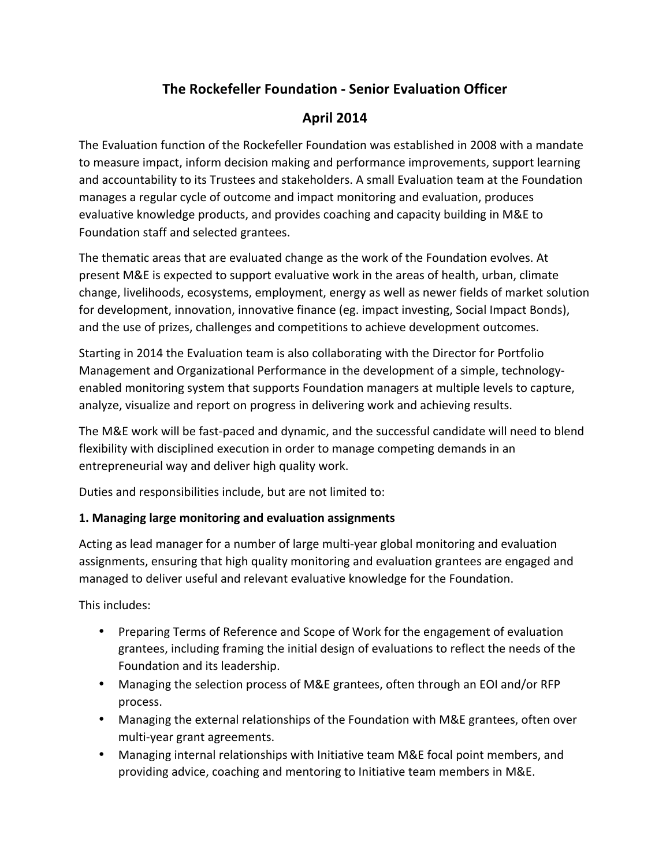# **The Rockefeller Foundation - Senior Evaluation Officer**

## **April 2014**

The Evaluation function of the Rockefeller Foundation was established in 2008 with a mandate to measure impact, inform decision making and performance improvements, support learning and accountability to its Trustees and stakeholders. A small Evaluation team at the Foundation manages a regular cycle of outcome and impact monitoring and evaluation, produces evaluative knowledge products, and provides coaching and capacity building in M&E to Foundation staff and selected grantees.

The thematic areas that are evaluated change as the work of the Foundation evolves. At present M&E is expected to support evaluative work in the areas of health, urban, climate change, livelihoods, ecosystems, employment, energy as well as newer fields of market solution for development, innovation, innovative finance (eg. impact investing, Social Impact Bonds), and the use of prizes, challenges and competitions to achieve development outcomes.

Starting in 2014 the Evaluation team is also collaborating with the Director for Portfolio Management and Organizational Performance in the development of a simple, technologyenabled monitoring system that supports Foundation managers at multiple levels to capture, analyze, visualize and report on progress in delivering work and achieving results.

The M&E work will be fast-paced and dynamic, and the successful candidate will need to blend flexibility with disciplined execution in order to manage competing demands in an entrepreneurial way and deliver high quality work.

Duties and responsibilities include, but are not limited to:

#### 1. Managing large monitoring and evaluation assignments

Acting as lead manager for a number of large multi-year global monitoring and evaluation assignments, ensuring that high quality monitoring and evaluation grantees are engaged and managed to deliver useful and relevant evaluative knowledge for the Foundation.

This includes:

- Preparing Terms of Reference and Scope of Work for the engagement of evaluation grantees, including framing the initial design of evaluations to reflect the needs of the Foundation and its leadership.
- Managing the selection process of M&E grantees, often through an EOI and/or RFP process.
- Managing the external relationships of the Foundation with M&E grantees, often over multi-year grant agreements.
- Managing internal relationships with Initiative team M&E focal point members, and providing advice, coaching and mentoring to Initiative team members in M&E.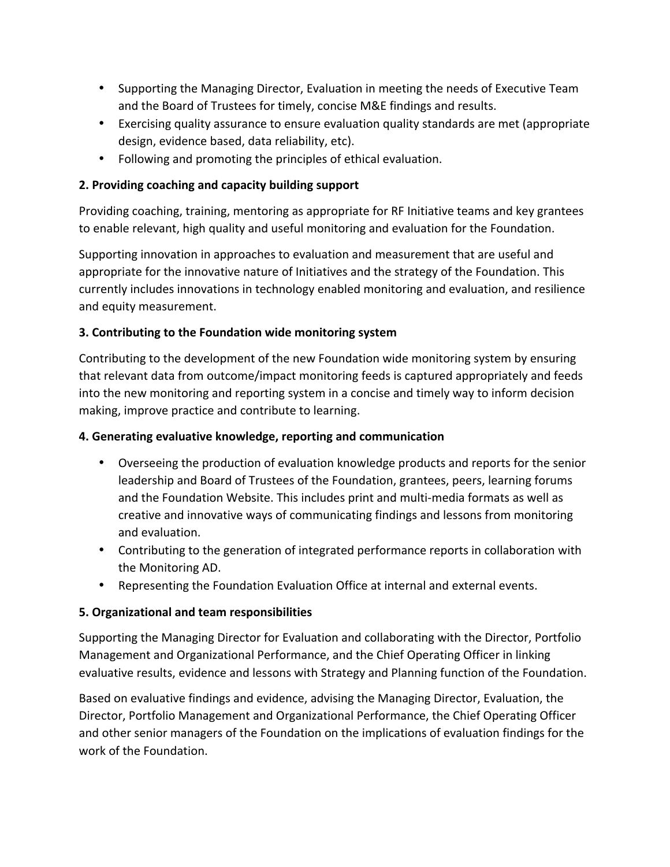- Supporting the Managing Director, Evaluation in meeting the needs of Executive Team and the Board of Trustees for timely, concise M&E findings and results.
- Exercising quality assurance to ensure evaluation quality standards are met (appropriate design, evidence based, data reliability, etc).
- Following and promoting the principles of ethical evaluation.

#### **2. Providing coaching and capacity building support**

Providing coaching, training, mentoring as appropriate for RF Initiative teams and key grantees to enable relevant, high quality and useful monitoring and evaluation for the Foundation.

Supporting innovation in approaches to evaluation and measurement that are useful and appropriate for the innovative nature of Initiatives and the strategy of the Foundation. This currently includes innovations in technology enabled monitoring and evaluation, and resilience and equity measurement.

#### **3. Contributing to the Foundation wide monitoring system**

Contributing to the development of the new Foundation wide monitoring system by ensuring that relevant data from outcome/impact monitoring feeds is captured appropriately and feeds into the new monitoring and reporting system in a concise and timely way to inform decision making, improve practice and contribute to learning.

#### **4. Generating evaluative knowledge, reporting and communication**

- Overseeing the production of evaluation knowledge products and reports for the senior leadership and Board of Trustees of the Foundation, grantees, peers, learning forums and the Foundation Website. This includes print and multi-media formats as well as creative and innovative ways of communicating findings and lessons from monitoring and evaluation.
- Contributing to the generation of integrated performance reports in collaboration with the Monitoring AD.
- Representing the Foundation Evaluation Office at internal and external events.

#### **5. Organizational and team responsibilities**

Supporting the Managing Director for Evaluation and collaborating with the Director, Portfolio Management and Organizational Performance, and the Chief Operating Officer in linking evaluative results, evidence and lessons with Strategy and Planning function of the Foundation.

Based on evaluative findings and evidence, advising the Managing Director, Evaluation, the Director, Portfolio Management and Organizational Performance, the Chief Operating Officer and other senior managers of the Foundation on the implications of evaluation findings for the work of the Foundation.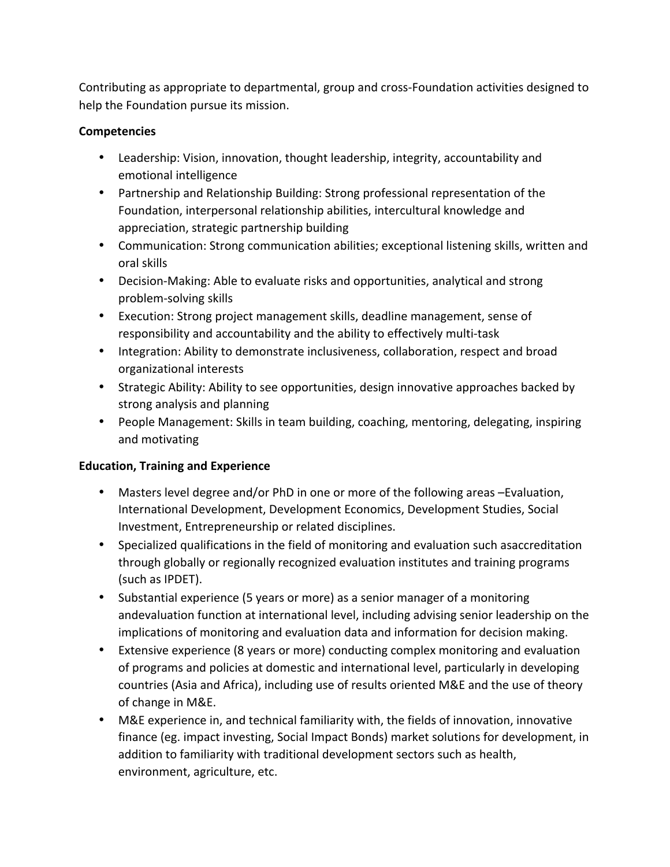Contributing as appropriate to departmental, group and cross-Foundation activities designed to help the Foundation pursue its mission.

#### **Competencies**

- Leadership: Vision, innovation, thought leadership, integrity, accountability and emotional intelligence
- Partnership and Relationship Building: Strong professional representation of the Foundation, interpersonal relationship abilities, intercultural knowledge and appreciation, strategic partnership building
- Communication: Strong communication abilities; exceptional listening skills, written and oral skills
- Decision-Making: Able to evaluate risks and opportunities, analytical and strong problem-solving skills
- Execution: Strong project management skills, deadline management, sense of responsibility and accountability and the ability to effectively multi-task
- Integration: Ability to demonstrate inclusiveness, collaboration, respect and broad organizational interests
- Strategic Ability: Ability to see opportunities, design innovative approaches backed by strong analysis and planning
- People Management: Skills in team building, coaching, mentoring, delegating, inspiring and motivating

#### **Education, Training and Experience**

- Masters level degree and/or PhD in one or more of the following areas -Evaluation, International Development, Development Economics, Development Studies, Social Investment, Entrepreneurship or related disciplines.
- Specialized qualifications in the field of monitoring and evaluation such asaccreditation through globally or regionally recognized evaluation institutes and training programs (such as IPDET).
- Substantial experience (5 years or more) as a senior manager of a monitoring andevaluation function at international level, including advising senior leadership on the implications of monitoring and evaluation data and information for decision making.
- Extensive experience (8 years or more) conducting complex monitoring and evaluation of programs and policies at domestic and international level, particularly in developing countries (Asia and Africa), including use of results oriented M&E and the use of theory of change in M&E.
- M&E experience in, and technical familiarity with, the fields of innovation, innovative finance (eg. impact investing, Social Impact Bonds) market solutions for development, in addition to familiarity with traditional development sectors such as health, environment, agriculture, etc.